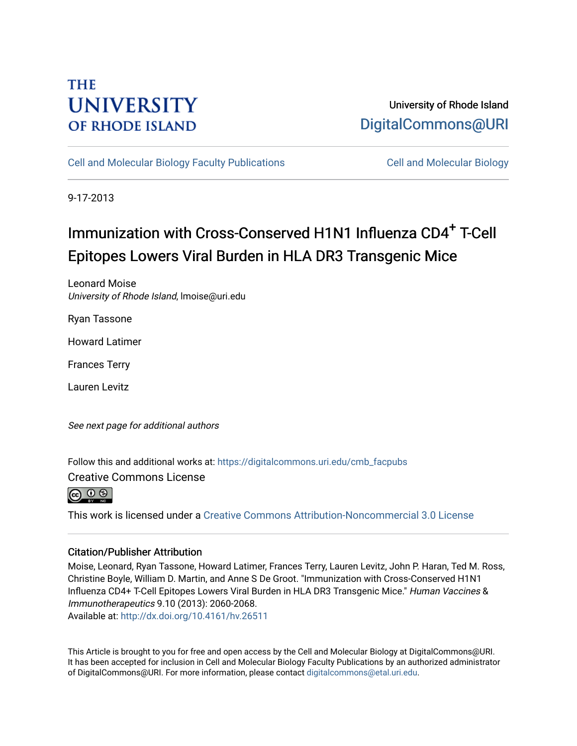## **THE UNIVERSITY OF RHODE ISLAND**

### University of Rhode Island [DigitalCommons@URI](https://digitalcommons.uri.edu/)

[Cell and Molecular Biology Faculty Publications](https://digitalcommons.uri.edu/cmb_facpubs) [Cell and Molecular Biology](https://digitalcommons.uri.edu/cmb) 

9-17-2013

# Immunization with Cross-Conserved H1N1 Influenza CD4<sup>+</sup> T-Cell Epitopes Lowers Viral Burden in HLA DR3 Transgenic Mice

Leonard Moise University of Rhode Island, lmoise@uri.edu

Ryan Tassone

Howard Latimer

Frances Terry

Lauren Levitz

See next page for additional authors

Follow this and additional works at: [https://digitalcommons.uri.edu/cmb\\_facpubs](https://digitalcommons.uri.edu/cmb_facpubs?utm_source=digitalcommons.uri.edu%2Fcmb_facpubs%2F8&utm_medium=PDF&utm_campaign=PDFCoverPages) 

Creative Commons License



This work is licensed under a [Creative Commons Attribution-Noncommercial 3.0 License](https://creativecommons.org/licenses/by-nc/3.0/)

### Citation/Publisher Attribution

Moise, Leonard, Ryan Tassone, Howard Latimer, Frances Terry, Lauren Levitz, John P. Haran, Ted M. Ross, Christine Boyle, William D. Martin, and Anne S De Groot. "Immunization with Cross-Conserved H1N1 Influenza CD4+ T-Cell Epitopes Lowers Viral Burden in HLA DR3 Transgenic Mice." Human Vaccines & Immunotherapeutics 9.10 (2013): 2060-2068. Available at:<http://dx.doi.org/10.4161/hv.26511>

This Article is brought to you for free and open access by the Cell and Molecular Biology at DigitalCommons@URI. It has been accepted for inclusion in Cell and Molecular Biology Faculty Publications by an authorized administrator of DigitalCommons@URI. For more information, please contact [digitalcommons@etal.uri.edu](mailto:digitalcommons@etal.uri.edu).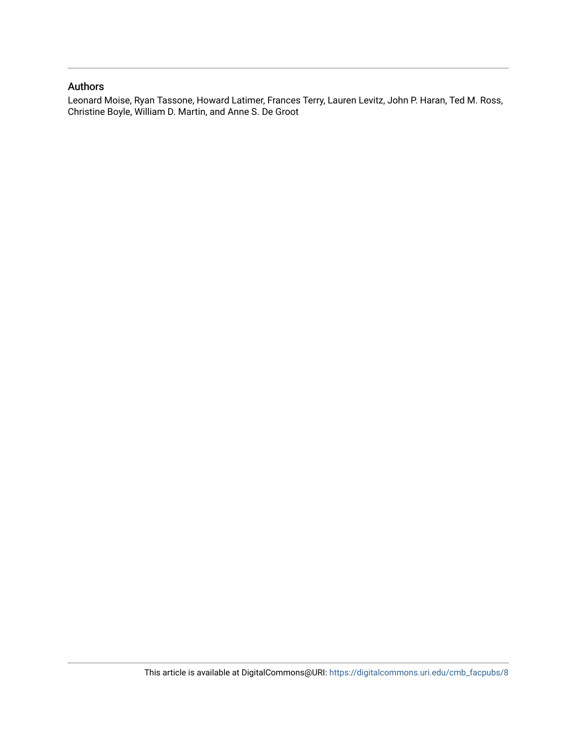### Authors

Leonard Moise, Ryan Tassone, Howard Latimer, Frances Terry, Lauren Levitz, John P. Haran, Ted M. Ross, Christine Boyle, William D. Martin, and Anne S. De Groot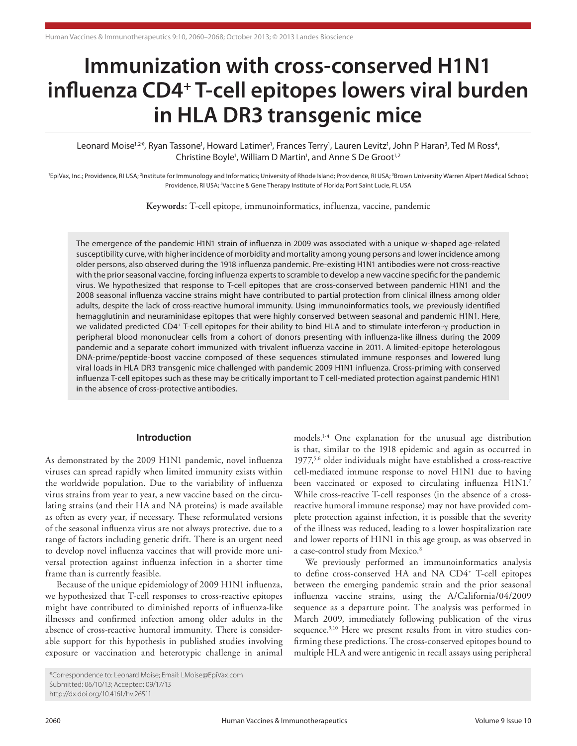# **Immunization with cross-conserved H1N1 influenza CD4+ T-cell epitopes lowers viral burden in HLA DR3 transgenic mice**

Leonard Moise<sup>1,2\*</sup>, Ryan Tassone<sup>1</sup>, Howard Latimer<sup>1</sup>, Frances Terry<sup>1</sup>, Lauren Levitz<sup>1</sup>, John P Haran<sup>3</sup>, Ted M Ross<sup>4</sup>, Christine Boyle<sup>1</sup>, William D Martin<sup>1</sup>, and Anne S De Groot<sup>1,2</sup>

<sup>1</sup>EpiVax, Inc.; Providence, RI USA; <sup>2</sup>Institute for Immunology and Informatics; University of Rhode Island; Providence, RI USA; <sup>3</sup>Brown University Warren Alpert Medical School; Providence, RI USA; <sup>4</sup>Vaccine & Gene Therapy Institute of Florida; Port Saint Lucie, FL US.

**Keywords:** T-cell epitope, immunoinformatics, influenza, vaccine, pandemic

The emergence of the pandemic H1N1 strain of influenza in 2009 was associated with a unique w-shaped age-related susceptibility curve, with higher incidence of morbidity and mortality among young persons and lower incidence among older persons, also observed during the 1918 influenza pandemic. Pre-existing H1N1 antibodies were not cross-reactive with the prior seasonal vaccine, forcing influenza experts to scramble to develop a new vaccine specific for the pandemic virus. We hypothesized that response to T-cell epitopes that are cross-conserved between pandemic H1N1 and the 2008 seasonal influenza vaccine strains might have contributed to partial protection from clinical illness among older adults, despite the lack of cross-reactive humoral immunity. Using immunoinformatics tools, we previously identified hemagglutinin and neuraminidase epitopes that were highly conserved between seasonal and pandemic H1N1. Here, we validated predicted CD4+ T-cell epitopes for their ability to bind HLA and to stimulate interferon-γ production in peripheral blood mononuclear cells from a cohort of donors presenting with influenza-like illness during the 2009 pandemic and a separate cohort immunized with trivalent influenza vaccine in 2011. A limited-epitope heterologous DNA-prime/peptide-boost vaccine composed of these sequences stimulated immune responses and lowered lung viral loads in HLA DR3 transgenic mice challenged with pandemic 2009 H1N1 influenza. Cross-priming with conserved influenza T-cell epitopes such as these may be critically important to T cell-mediated protection against pandemic H1N1 in the absence of cross-protective antibodies.

#### **Introduction**

As demonstrated by the 2009 H1N1 pandemic, novel influenza viruses can spread rapidly when limited immunity exists within the worldwide population. Due to the variability of influenza virus strains from year to year, a new vaccine based on the circulating strains (and their HA and NA proteins) is made available as often as every year, if necessary. These reformulated versions of the seasonal influenza virus are not always protective, due to a range of factors including genetic drift. There is an urgent need to develop novel influenza vaccines that will provide more universal protection against influenza infection in a shorter time frame than is currently feasible.

Because of the unique epidemiology of 2009 H1N1 influenza, we hypothesized that T-cell responses to cross-reactive epitopes might have contributed to diminished reports of influenza-like illnesses and confirmed infection among older adults in the absence of cross-reactive humoral immunity. There is considerable support for this hypothesis in published studies involving exposure or vaccination and heterotypic challenge in animal

models.1-4 One explanation for the unusual age distribution is that, similar to the 1918 epidemic and again as occurred in 1977,<sup>5,6</sup> older individuals might have established a cross-reactive cell-mediated immune response to novel H1N1 due to having been vaccinated or exposed to circulating influenza H1N1.7 While cross-reactive T-cell responses (in the absence of a crossreactive humoral immune response) may not have provided complete protection against infection, it is possible that the severity of the illness was reduced, leading to a lower hospitalization rate and lower reports of H1N1 in this age group, as was observed in a case-control study from Mexico.<sup>8</sup>

We previously performed an immunoinformatics analysis to define cross-conserved HA and NA CD4<sup>+</sup> T-cell epitopes between the emerging pandemic strain and the prior seasonal influenza vaccine strains, using the A/California/04/2009 sequence as a departure point. The analysis was performed in March 2009, immediately following publication of the virus sequence.<sup>9,10</sup> Here we present results from in vitro studies confirming these predictions. The cross-conserved epitopes bound to multiple HLA and were antigenic in recall assays using peripheral

<sup>\*</sup>Correspondence to: Leonard Moise; Email: LMoise@EpiVax.com Submitted: 06/10/13; Accepted: 09/17/13 http://dx.doi.org/10.4161/hv.26511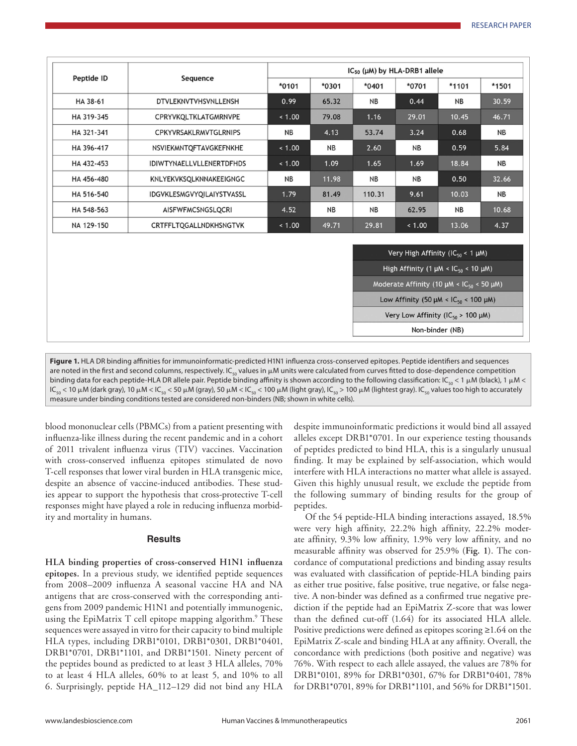| Peptide ID | Sequence                        | $IC_{50}$ ( $µ$ M) by HLA-DRB1 allele |           |           |           |           |           |
|------------|---------------------------------|---------------------------------------|-----------|-----------|-----------|-----------|-----------|
|            |                                 | $*0101$                               | $*0301$   | $*0401$   | *0701     | $*1101$   | *1501     |
| HA 38-61   | DTVLEKNVTVHSVNLLENSH            | 0.99                                  | 65.32     | NB        | 0.44      | <b>NB</b> | 30.59     |
| HA 319-345 | CPRYVKQLTKLATGMRNVPE            | < 1.00                                | 79.08     | 1.16      | 29.01     | 10.45     | 46.71     |
| HA 321-341 | <b>CPKYVRSAKLRMVTGLRNIPS</b>    | <b>NB</b>                             | 4.13      | 53.74     | 3.24      | 0.68      | <b>NB</b> |
| HA 396-417 | NSVIEKMNTOFTAVGKEFNKHE          | < 1.00                                | <b>NB</b> | 2.60      | <b>NB</b> | 0.59      | 5.84      |
| HA 432-453 | <b>IDIWTYNAELLVLLENERTDFHDS</b> | < 1.00                                | 1.09      | 1.65      | 1.69      | 18.84     | <b>NB</b> |
| HA 456-480 | KNLYEKVKSQLKNNAKEEIGNGC         | <b>NB</b>                             | 11.98     | <b>NB</b> | <b>NB</b> | 0.50      | 32.66     |
| HA 516-540 | IDGVKLESMGVYQILAIYSTVASSL       | 1.79                                  | 81.49     | 110.31    | 9.61      | 10.03     | <b>NB</b> |
| HA 548-563 | AISFWFMCSNGSLQCRI               | 4.52                                  | <b>NB</b> | <b>NB</b> | 62.95     | <b>NB</b> | 10.68     |
| NA 129-150 | CRTFFLTOGALLNDKHSNGTVK          | < 1.00                                | 49.71     | 29.81     | < 1.00    | 13.06     | 4.37      |

**Figure 1.** HLA DR binding affinities for immunoinformatic-predicted H1N1 influenza cross-conserved epitopes. Peptide identifiers and sequences are noted in the first and second columns, respectively. IC<sub>co</sub> values in  $\mu$ M units were calculated from curves fitted to dose-dependence competition binding data for each peptide-HLA DR allele pair. Peptide binding affinity is shown according to the following classification:  $IC_{50}$  < 1  $\mu$ M (black), 1  $\mu$ M < IC<sub>50</sub> < 10 μM (dark gray), 10 μM < IC<sub>50</sub> < 50 μM (gray), 50 μM < IC<sub>50</sub> < 100 μM (light gray), IC<sub>50</sub> > 100 μM (lightest gray). IC<sub>50</sub> values too high to accurately measure under binding conditions tested are considered non-binders (NB; shown in white cells).

blood mononuclear cells (PBMCs) from a patient presenting with influenza-like illness during the recent pandemic and in a cohort of 2011 trivalent influenza virus (TIV) vaccines. Vaccination with cross-conserved influenza epitopes stimulated de novo T-cell responses that lower viral burden in HLA transgenic mice, despite an absence of vaccine-induced antibodies. These studies appear to support the hypothesis that cross-protective T-cell responses might have played a role in reducing influenza morbidity and mortality in humans.

#### **Results**

**HLA binding properties of cross-conserved H1N1 influenza epitopes.** In a previous study, we identified peptide sequences from 2008–2009 influenza A seasonal vaccine HA and NA antigens that are cross-conserved with the corresponding antigens from 2009 pandemic H1N1 and potentially immunogenic, using the EpiMatrix T cell epitope mapping algorithm.<sup>9</sup> These sequences were assayed in vitro for their capacity to bind multiple HLA types, including DRB1\*0101, DRB1\*0301, DRB1\*0401, DRB1\*0701, DRB1\*1101, and DRB1\*1501. Ninety percent of the peptides bound as predicted to at least 3 HLA alleles, 70% to at least 4 HLA alleles, 60% to at least 5, and 10% to all 6. Surprisingly, peptide HA\_112–129 did not bind any HLA

despite immunoinformatic predictions it would bind all assayed alleles except DRB1\*0701. In our experience testing thousands of peptides predicted to bind HLA, this is a singularly unusual finding. It may be explained by self-association, which would interfere with HLA interactions no matter what allele is assayed. Given this highly unusual result, we exclude the peptide from the following summary of binding results for the group of peptides.

Of the 54 peptide-HLA binding interactions assayed, 18.5% were very high affinity, 22.2% high affinity, 22.2% moderate affinity, 9.3% low affinity, 1.9% very low affinity, and no measurable affinity was observed for 25.9% (**Fig. 1**). The concordance of computational predictions and binding assay results was evaluated with classification of peptide-HLA binding pairs as either true positive, false positive, true negative, or false negative. A non-binder was defined as a confirmed true negative prediction if the peptide had an EpiMatrix Z-score that was lower than the defined cut-off (1.64) for its associated HLA allele. Positive predictions were defined as epitopes scoring ≥1.64 on the EpiMatrix Z-scale and binding HLA at any affinity. Overall, the concordance with predictions (both positive and negative) was 76%. With respect to each allele assayed, the values are 78% for DRB1\*0101, 89% for DRB1\*0301, 67% for DRB1\*0401, 78% for DRB1\*0701, 89% for DRB1\*1101, and 56% for DRB1\*1501.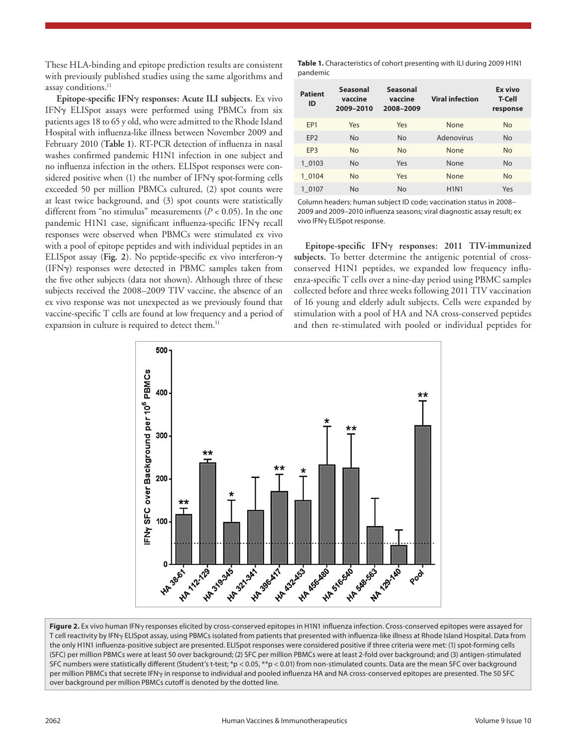These HLA-binding and epitope prediction results are consistent with previously published studies using the same algorithms and assay conditions.<sup>11</sup>

**Epitope-specific IFN**γ **responses: Acute ILI subjects.** Ex vivo IFNγ ELISpot assays were performed using PBMCs from six patients ages 18 to 65 y old, who were admitted to the Rhode Island Hospital with influenza-like illness between November 2009 and February 2010 (**Table 1**). RT-PCR detection of influenza in nasal washes confirmed pandemic H1N1 infection in one subject and no influenza infection in the others. ELISpot responses were considered positive when (1) the number of IFNγ spot-forming cells exceeded 50 per million PBMCs cultured, (2) spot counts were at least twice background, and (3) spot counts were statistically different from "no stimulus" measurements (*P* < 0.05). In the one pandemic H1N1 case, significant influenza-specific IFNγ recall responses were observed when PBMCs were stimulated ex vivo with a pool of epitope peptides and with individual peptides in an ELISpot assay (**Fig. 2**). No peptide-specific ex vivo interferon-γ (IFNγ) responses were detected in PBMC samples taken from the five other subjects (data not shown). Although three of these subjects received the 2008–2009 TIV vaccine, the absence of an ex vivo response was not unexpected as we previously found that vaccine-specific T cells are found at low frequency and a period of expansion in culture is required to detect them.<sup>11</sup>

**Table 1.** Characteristics of cohort presenting with ILI during 2009 H1N1 pandemic

| <b>Patient</b><br>ID | <b>Seasonal</b><br>vaccine<br>2009-2010 | <b>Seasonal</b><br>vaccine<br>2008-2009 | <b>Viral infection</b> | Ex vivo<br><b>T-Cell</b><br>response |
|----------------------|-----------------------------------------|-----------------------------------------|------------------------|--------------------------------------|
| FP <sub>1</sub>      | Yes                                     | Yes                                     | None                   | <b>No</b>                            |
| EP <sub>2</sub>      | <b>No</b>                               | <b>No</b>                               | Adenovirus             | <b>No</b>                            |
| FP3                  | No                                      | <b>No</b>                               | None                   | <b>No</b>                            |
| 1 0103               | No                                      | Yes                                     | None                   | No                                   |
| 1 0104               | <b>No</b>                               | Yes                                     | None                   | <b>No</b>                            |
| 1 0107               | <b>No</b>                               | <b>No</b>                               | <b>H1N1</b>            | Yes                                  |
|                      |                                         |                                         |                        |                                      |

Column headers: human subject ID code; vaccination status in 2008– 2009 and 2009–2010 influenza seasons; viral diagnostic assay result; ex vivo IFNγ ELISpot response.

**Epitope-specific IFN**γ **responses: 2011 TIV-immunized subjects.** To better determine the antigenic potential of crossconserved H1N1 peptides, we expanded low frequency influenza-specific T cells over a nine-day period using PBMC samples collected before and three weeks following 2011 TIV vaccination of 16 young and elderly adult subjects. Cells were expanded by stimulation with a pool of HA and NA cross-conserved peptides and then re-stimulated with pooled or individual peptides for



**Figure 2.** Ex vivo human IFNγ responses elicited by cross-conserved epitopes in H1N1 influenza infection. Cross-conserved epitopes were assayed for T cell reactivity by IFNγ ELISpot assay, using PBMCs isolated from patients that presented with influenza-like illness at Rhode Island Hospital. Data from the only H1N1 influenza-positive subject are presented. ELISpot responses were considered positive if three criteria were met: (1) spot-forming cells (SFC) per million PBMCs were at least 50 over background; (2) SFC per million PBMCs were at least 2-fold over background; and (3) antigen-stimulated SFC numbers were statistically different (Student's t-test; \*p < 0.05, \*\*p < 0.01) from non-stimulated counts. Data are the mean SFC over background per million PBMCs that secrete IFN<sub>Y</sub> in response to individual and pooled influenza HA and NA cross-conserved epitopes are presented. The 50 SFC over background per million PBMCs cutoff is denoted by the dotted line.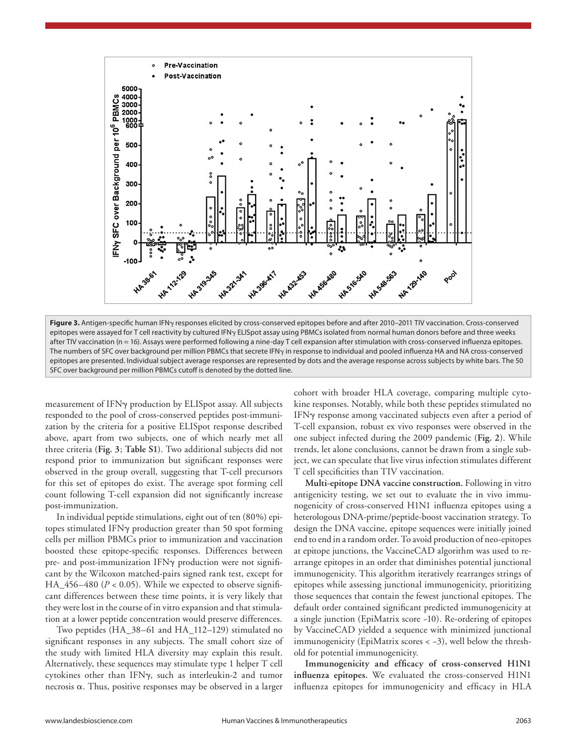

**Figure 3.** Antigen-specific human IFNγ responses elicited by cross-conserved epitopes before and after 2010–2011 TIV vaccination. Cross-conserved epitopes were assayed for T cell reactivity by cultured IFNγ ELISpot assay using PBMCs isolated from normal human donors before and three weeks after TIV vaccination (n = 16). Assays were performed following a nine-day T cell expansion after stimulation with cross-conserved influenza epitopes. The numbers of SFC over background per million PBMCs that secrete IFN<sub>Y</sub> in response to individual and pooled influenza HA and NA cross-conserved epitopes are presented. Individual subject average responses are represented by dots and the average response across subjects by white bars. The 50 SFC over background per million PBMCs cutoff is denoted by the dotted line.

measurement of IFNγ production by ELISpot assay. All subjects responded to the pool of cross-conserved peptides post-immunization by the criteria for a positive ELISpot response described above, apart from two subjects, one of which nearly met all three criteria (**Fig. 3**; **Table S1**). Two additional subjects did not respond prior to immunization but significant responses were observed in the group overall, suggesting that T-cell precursors for this set of epitopes do exist. The average spot forming cell count following T-cell expansion did not significantly increase post-immunization.

In individual peptide stimulations, eight out of ten (80%) epitopes stimulated IFNγ production greater than 50 spot forming cells per million PBMCs prior to immunization and vaccination boosted these epitope-specific responses. Differences between pre- and post-immunization IFNγ production were not significant by the Wilcoxon matched-pairs signed rank test, except for HA\_456–480 (*P* < 0.05). While we expected to observe significant differences between these time points, it is very likely that they were lost in the course of in vitro expansion and that stimulation at a lower peptide concentration would preserve differences.

Two peptides (HA\_38–61 and HA\_112–129) stimulated no significant responses in any subjects. The small cohort size of the study with limited HLA diversity may explain this result. Alternatively, these sequences may stimulate type 1 helper T cell cytokines other than IFNγ, such as interleukin-2 and tumor necrosis  $\alpha$ . Thus, positive responses may be observed in a larger

cohort with broader HLA coverage, comparing multiple cytokine responses. Notably, while both these peptides stimulated no IFNγ response among vaccinated subjects even after a period of T-cell expansion, robust ex vivo responses were observed in the one subject infected during the 2009 pandemic (**Fig. 2**). While trends, let alone conclusions, cannot be drawn from a single subject, we can speculate that live virus infection stimulates different T cell specificities than TIV vaccination.

**Multi-epitope DNA vaccine construction.** Following in vitro antigenicity testing, we set out to evaluate the in vivo immunogenicity of cross-conserved H1N1 influenza epitopes using a heterologous DNA-prime/peptide-boost vaccination strategy. To design the DNA vaccine, epitope sequences were initially joined end to end in a random order. To avoid production of neo-epitopes at epitope junctions, the VaccineCAD algorithm was used to rearrange epitopes in an order that diminishes potential junctional immunogenicity. This algorithm iteratively rearranges strings of epitopes while assessing junctional immunogenicity, prioritizing those sequences that contain the fewest junctional epitopes. The default order contained significant predicted immunogenicity at a single junction (EpiMatrix score ~10). Re-ordering of epitopes by VaccineCAD yielded a sequence with minimized junctional immunogenicity (EpiMatrix scores < −3), well below the threshold for potential immunogenicity.

**Immunogenicity and efficacy of cross-conserved H1N1 influenza epitopes.** We evaluated the cross-conserved H1N1 influenza epitopes for immunogenicity and efficacy in HLA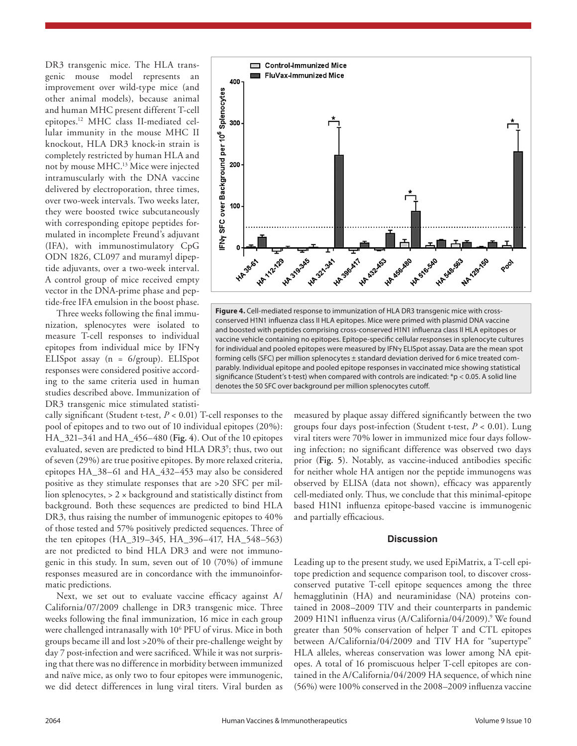DR3 transgenic mice. The HLA transgenic mouse model represents an improvement over wild-type mice (and other animal models), because animal and human MHC present different T-cell epitopes.12 MHC class II-mediated cellular immunity in the mouse MHC II knockout, HLA DR3 knock-in strain is completely restricted by human HLA and not by mouse MHC.13 Mice were injected intramuscularly with the DNA vaccine delivered by electroporation, three times, over two-week intervals. Two weeks later, they were boosted twice subcutaneously with corresponding epitope peptides formulated in incomplete Freund's adjuvant (IFA), with immunostimulatory CpG ODN 1826, CL097 and muramyl dipeptide adjuvants, over a two-week interval. A control group of mice received empty vector in the DNA-prime phase and peptide-free IFA emulsion in the boost phase.

Three weeks following the final immunization, splenocytes were isolated to measure T-cell responses to individual epitopes from individual mice by IFNγ ELISpot assay (n = 6/group). ELISpot responses were considered positive according to the same criteria used in human studies described above. Immunization of DR3 transgenic mice stimulated statisti-

cally significant (Student t-test, *P* < 0.01) T-cell responses to the pool of epitopes and to two out of 10 individual epitopes (20%): HA\_321–341 and HA\_456–480 (**Fig. 4**). Out of the 10 epitopes evaluated, seven are predicted to bind HLA DR3<sup>9</sup>; thus, two out of seven (29%) are true positive epitopes. By more relaxed criteria, epitopes HA\_38–61 and HA\_432–453 may also be considered positive as they stimulate responses that are >20 SFC per million splenocytes,  $> 2 \times$  background and statistically distinct from background. Both these sequences are predicted to bind HLA DR3, thus raising the number of immunogenic epitopes to 40% of those tested and 57% positively predicted sequences. Three of the ten epitopes (HA\_319–345, HA\_396–417, HA\_548–563) are not predicted to bind HLA DR3 and were not immunogenic in this study. In sum, seven out of 10 (70%) of immune responses measured are in concordance with the immunoinformatic predictions.

Next, we set out to evaluate vaccine efficacy against A/ California/07/2009 challenge in DR3 transgenic mice. Three weeks following the final immunization, 16 mice in each group were challenged intranasally with 10<sup>6</sup> PFU of virus. Mice in both groups became ill and lost >20% of their pre-challenge weight by day 7 post-infection and were sacrificed. While it was not surprising that there was no difference in morbidity between immunized and naïve mice, as only two to four epitopes were immunogenic, we did detect differences in lung viral titers. Viral burden as



**Figure 4.** Cell-mediated response to immunization of HLA DR3 transgenic mice with crossconserved H1N1 influenza class II HLA epitopes. Mice were primed with plasmid DNA vaccine and boosted with peptides comprising cross-conserved H1N1 influenza class II HLA epitopes or vaccine vehicle containing no epitopes. Epitope-specific cellular responses in splenocyte cultures for individual and pooled epitopes were measured by IFNγ ELISpot assay. Data are the mean spot forming cells (SFC) per million splenocytes ± standard deviation derived for 6 mice treated comparably. Individual epitope and pooled epitope responses in vaccinated mice showing statistical significance (Student's t-test) when compared with controls are indicated:  $*p < 0.05$ . A solid line denotes the 50 SFC over background per million splenocytes cutoff.

measured by plaque assay differed significantly between the two groups four days post-infection (Student t-test, *P* < 0.01). Lung viral titers were 70% lower in immunized mice four days following infection; no significant difference was observed two days prior (**Fig. 5**). Notably, as vaccine-induced antibodies specific for neither whole HA antigen nor the peptide immunogens was observed by ELISA (data not shown), efficacy was apparently cell-mediated only. Thus, we conclude that this minimal-epitope based H1N1 influenza epitope-based vaccine is immunogenic and partially efficacious.

#### **Discussion**

Leading up to the present study, we used EpiMatrix, a T-cell epitope prediction and sequence comparison tool, to discover crossconserved putative T-cell epitope sequences among the three hemagglutinin (HA) and neuraminidase (NA) proteins contained in 2008–2009 TIV and their counterparts in pandemic 2009 H1N1 influenza virus (A/California/04/2009).9 We found greater than 50% conservation of helper T and CTL epitopes between A/California/04/2009 and TIV HA for "supertype" HLA alleles, whereas conservation was lower among NA epitopes. A total of 16 promiscuous helper T-cell epitopes are contained in the A/California/04/2009 HA sequence, of which nine (56%) were 100% conserved in the 2008–2009 influenza vaccine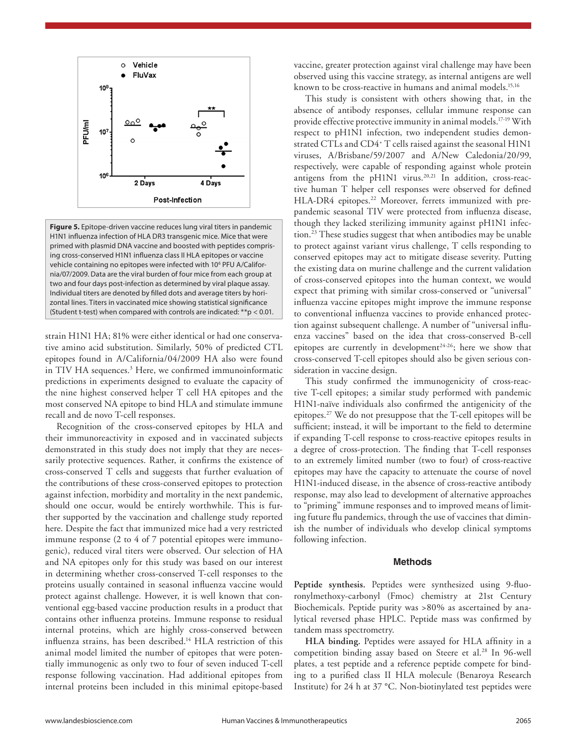

**Figure 5.** Epitope-driven vaccine reduces lung viral titers in pandemic H1N1 influenza infection of HLA DR3 transgenic mice. Mice that were primed with plasmid DNA vaccine and boosted with peptides comprising cross-conserved H1N1 influenza class II HLA epitopes or vaccine vehicle containing no epitopes were infected with 10<sup>6</sup> PFU A/California/07/2009. Data are the viral burden of four mice from each group at two and four days post-infection as determined by viral plaque assay. Individual titers are denoted by filled dots and average titers by horizontal lines. Titers in vaccinated mice showing statistical significance (Student t-test) when compared with controls are indicated: \*\*p < 0.01.

strain H1N1 HA; 81% were either identical or had one conservative amino acid substitution. Similarly, 50% of predicted CTL epitopes found in A/California/04/2009 HA also were found in TIV HA sequences.<sup>3</sup> Here, we confirmed immunoinformatic predictions in experiments designed to evaluate the capacity of the nine highest conserved helper T cell HA epitopes and the most conserved NA epitope to bind HLA and stimulate immune recall and de novo T-cell responses.

Recognition of the cross-conserved epitopes by HLA and their immunoreactivity in exposed and in vaccinated subjects demonstrated in this study does not imply that they are necessarily protective sequences. Rather, it confirms the existence of cross-conserved T cells and suggests that further evaluation of the contributions of these cross-conserved epitopes to protection against infection, morbidity and mortality in the next pandemic, should one occur, would be entirely worthwhile. This is further supported by the vaccination and challenge study reported here. Despite the fact that immunized mice had a very restricted immune response (2 to 4 of 7 potential epitopes were immunogenic), reduced viral titers were observed. Our selection of HA and NA epitopes only for this study was based on our interest in determining whether cross-conserved T-cell responses to the proteins usually contained in seasonal influenza vaccine would protect against challenge. However, it is well known that conventional egg-based vaccine production results in a product that contains other influenza proteins. Immune response to residual internal proteins, which are highly cross-conserved between influenza strains, has been described.<sup>14</sup> HLA restriction of this animal model limited the number of epitopes that were potentially immunogenic as only two to four of seven induced T-cell response following vaccination. Had additional epitopes from internal proteins been included in this minimal epitope-based

vaccine, greater protection against viral challenge may have been observed using this vaccine strategy, as internal antigens are well known to be cross-reactive in humans and animal models.<sup>15,16</sup>

This study is consistent with others showing that, in the absence of antibody responses, cellular immune response can provide effective protective immunity in animal models.17-19 With respect to pH1N1 infection, two independent studies demonstrated CTLs and CD4+ T cells raised against the seasonal H1N1 viruses, A/Brisbane/59/2007 and A/New Caledonia/20/99, respectively, were capable of responding against whole protein antigens from the pH1N1 virus. $20,21$  In addition, cross-reactive human T helper cell responses were observed for defined HLA-DR4 epitopes.<sup>22</sup> Moreover, ferrets immunized with prepandemic seasonal TIV were protected from influenza disease, though they lacked sterilizing immunity against pH1N1 infection.<sup>23</sup> These studies suggest that when antibodies may be unable to protect against variant virus challenge, T cells responding to conserved epitopes may act to mitigate disease severity. Putting the existing data on murine challenge and the current validation of cross-conserved epitopes into the human context, we would expect that priming with similar cross-conserved or "universal" influenza vaccine epitopes might improve the immune response to conventional influenza vaccines to provide enhanced protection against subsequent challenge. A number of "universal influenza vaccines" based on the idea that cross-conserved B-cell epitopes are currently in development<sup>24-26</sup>; here we show that cross-conserved T-cell epitopes should also be given serious consideration in vaccine design.

This study confirmed the immunogenicity of cross-reactive T-cell epitopes; a similar study performed with pandemic H1N1-naïve individuals also confirmed the antigenicity of the epitopes.27 We do not presuppose that the T-cell epitopes will be sufficient; instead, it will be important to the field to determine if expanding T-cell response to cross-reactive epitopes results in a degree of cross-protection. The finding that T-cell responses to an extremely limited number (two to four) of cross-reactive epitopes may have the capacity to attenuate the course of novel H1N1-induced disease, in the absence of cross-reactive antibody response, may also lead to development of alternative approaches to "priming" immune responses and to improved means of limiting future flu pandemics, through the use of vaccines that diminish the number of individuals who develop clinical symptoms following infection.

#### **Methods**

**Peptide synthesis.** Peptides were synthesized using 9-fluoronylmethoxy-carbonyl (Fmoc) chemistry at 21st Century Biochemicals. Peptide purity was >80% as ascertained by analytical reversed phase HPLC. Peptide mass was confirmed by tandem mass spectrometry.

**HLA binding.** Peptides were assayed for HLA affinity in a competition binding assay based on Steere et al.<sup>28</sup> In 96-well plates, a test peptide and a reference peptide compete for binding to a purified class II HLA molecule (Benaroya Research Institute) for 24 h at 37 °C. Non-biotinylated test peptides were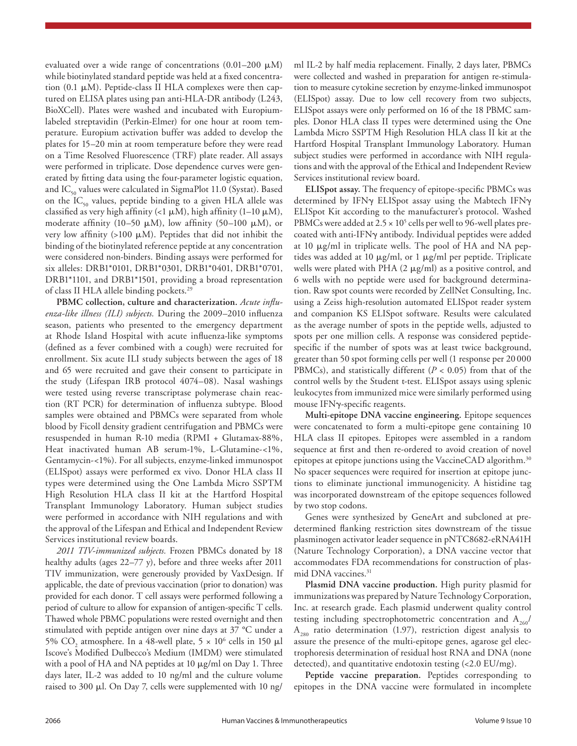evaluated over a wide range of concentrations  $(0.01-200 \mu M)$ while biotinylated standard peptide was held at a fixed concentration (0.1 μM). Peptide-class II HLA complexes were then captured on ELISA plates using pan anti-HLA-DR antibody (L243, BioXCell). Plates were washed and incubated with Europiumlabeled streptavidin (Perkin-Elmer) for one hour at room temperature. Europium activation buffer was added to develop the plates for 15–20 min at room temperature before they were read on a Time Resolved Fluorescence (TRF) plate reader. All assays were performed in triplicate. Dose dependence curves were generated by fitting data using the four-parameter logistic equation, and  $IC_{50}$  values were calculated in SigmaPlot 11.0 (Systat). Based on the  $IC_{50}$  values, peptide binding to a given HLA allele was classified as very high affinity (<1  $\mu$ M), high affinity (1-10  $\mu$ M), moderate affinity (10–50  $\mu$ M), low affinity (50–100  $\mu$ M), or very low affinity  $(>100 \mu M)$ . Peptides that did not inhibit the binding of the biotinylated reference peptide at any concentration were considered non-binders. Binding assays were performed for six alleles: DRB1\*0101, DRB1\*0301, DRB1\*0401, DRB1\*0701, DRB1\*1101, and DRB1\*1501, providing a broad representation of class II HLA allele binding pockets.29

**PBMC collection, culture and characterization.** *Acute influenza-like illness (ILI) subjects.* During the 2009–2010 influenza season, patients who presented to the emergency department at Rhode Island Hospital with acute influenza-like symptoms (defined as a fever combined with a cough) were recruited for enrollment. Six acute ILI study subjects between the ages of 18 and 65 were recruited and gave their consent to participate in the study (Lifespan IRB protocol 4074–08). Nasal washings were tested using reverse transcriptase polymerase chain reaction (RT PCR) for determination of influenza subtype. Blood samples were obtained and PBMCs were separated from whole blood by Ficoll density gradient centrifugation and PBMCs were resuspended in human R-10 media (RPMI + Glutamax-88%, Heat inactivated human AB serum-1%, L-Glutamine-<1%, Gentamycin-<1%). For all subjects, enzyme-linked immunospot (ELISpot) assays were performed ex vivo. Donor HLA class II types were determined using the One Lambda Micro SSPTM High Resolution HLA class II kit at the Hartford Hospital Transplant Immunology Laboratory. Human subject studies were performed in accordance with NIH regulations and with the approval of the Lifespan and Ethical and Independent Review Services institutional review boards.

*2011 TIV-immunized subjects.* Frozen PBMCs donated by 18 healthy adults (ages 22–77 y), before and three weeks after 2011 TIV immunization, were generously provided by VaxDesign. If applicable, the date of previous vaccination (prior to donation) was provided for each donor. T cell assays were performed following a period of culture to allow for expansion of antigen-specific T cells. Thawed whole PBMC populations were rested overnight and then stimulated with peptide antigen over nine days at 37 °C under a 5%  $CO_2$  atmosphere. In a 48-well plate, 5  $\times$  10<sup>6</sup> cells in 150  $\mu$ l Iscove's Modified Dulbecco's Medium (IMDM) were stimulated with a pool of HA and NA peptides at 10 μg/ml on Day 1. Three days later, IL-2 was added to 10 ng/ml and the culture volume raised to 300 μl. On Day 7, cells were supplemented with 10 ng/

ml IL-2 by half media replacement. Finally, 2 days later, PBMCs were collected and washed in preparation for antigen re-stimulation to measure cytokine secretion by enzyme-linked immunospot (ELISpot) assay. Due to low cell recovery from two subjects, ELISpot assays were only performed on 16 of the 18 PBMC samples. Donor HLA class II types were determined using the One Lambda Micro SSPTM High Resolution HLA class II kit at the Hartford Hospital Transplant Immunology Laboratory. Human subject studies were performed in accordance with NIH regulations and with the approval of the Ethical and Independent Review Services institutional review board.

**ELISpot assay.** The frequency of epitope-specific PBMCs was determined by IFNγ ELISpot assay using the Mabtech IFNγ ELISpot Kit according to the manufacturer's protocol. Washed PBMCs were added at  $2.5 \times 10^5$  cells per well to 96-well plates precoated with anti-IFNγ antibody. Individual peptides were added at 10 μg/ml in triplicate wells. The pool of HA and NA peptides was added at 10 μg/ml, or 1 μg/ml per peptide. Triplicate wells were plated with PHA  $(2 \mu g/ml)$  as a positive control, and 6 wells with no peptide were used for background determination. Raw spot counts were recorded by ZellNet Consulting, Inc. using a Zeiss high-resolution automated ELISpot reader system and companion KS ELISpot software. Results were calculated as the average number of spots in the peptide wells, adjusted to spots per one million cells. A response was considered peptidespecific if the number of spots was at least twice background, greater than 50 spot forming cells per well (1 response per 20 000 PBMCs), and statistically different  $(P < 0.05)$  from that of the control wells by the Student t-test. ELISpot assays using splenic leukocytes from immunized mice were similarly performed using mouse IFNγ-specific reagents.

**Multi-epitope DNA vaccine engineering.** Epitope sequences were concatenated to form a multi-epitope gene containing 10 HLA class II epitopes. Epitopes were assembled in a random sequence at first and then re-ordered to avoid creation of novel epitopes at epitope junctions using the VaccineCAD algorithm.<sup>30</sup> No spacer sequences were required for insertion at epitope junctions to eliminate junctional immunogenicity. A histidine tag was incorporated downstream of the epitope sequences followed by two stop codons.

Genes were synthesized by GeneArt and subcloned at predetermined flanking restriction sites downstream of the tissue plasminogen activator leader sequence in pNTC8682-eRNA41H (Nature Technology Corporation), a DNA vaccine vector that accommodates FDA recommendations for construction of plasmid DNA vaccines.<sup>31</sup>

**Plasmid DNA vaccine production.** High purity plasmid for immunizations was prepared by Nature Technology Corporation, Inc. at research grade. Each plasmid underwent quality control testing including spectrophotometric concentration and  $A_{260}/$  $A_{280}$  ratio determination (1.97), restriction digest analysis to assure the presence of the multi-epitope genes, agarose gel electrophoresis determination of residual host RNA and DNA (none detected), and quantitative endotoxin testing (<2.0 EU/mg).

**Peptide vaccine preparation.** Peptides corresponding to epitopes in the DNA vaccine were formulated in incomplete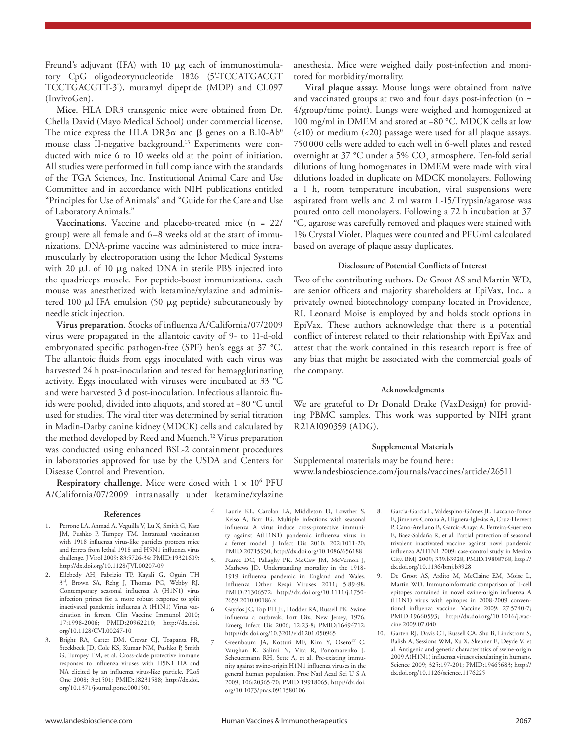Freund's adjuvant (IFA) with 10 μg each of immunostimulatory CpG oligodeoxynucleotide 1826 (5'-TCCATGACGT TCCTGACGTT-3'), muramyl dipeptide (MDP) and CL097 (InvivoGen).

**Mice.** HLA DR3 transgenic mice were obtained from Dr. Chella David (Mayo Medical School) under commercial license. The mice express the HLA DR3 $\alpha$  and  $\beta$  genes on a B.10-Ab<sup>0</sup> mouse class II-negative background.<sup>13</sup> Experiments were conducted with mice 6 to 10 weeks old at the point of initiation. All studies were performed in full compliance with the standards of the TGA Sciences, Inc. Institutional Animal Care and Use Committee and in accordance with NIH publications entitled "Principles for Use of Animals" and "Guide for the Care and Use of Laboratory Animals."

**Vaccinations.** Vaccine and placebo-treated mice (n = 22/ group) were all female and 6–8 weeks old at the start of immunizations. DNA-prime vaccine was administered to mice intramuscularly by electroporation using the Ichor Medical Systems with 20 μL of 10 μg naked DNA in sterile PBS injected into the quadriceps muscle. For peptide-boost immunizations, each mouse was anesthetized with ketamine/xylazine and administered 100 μl IFA emulsion (50 μg peptide) subcutaneously by needle stick injection.

**Virus preparation.** Stocks of influenza A/California/07/2009 virus were propagated in the allantoic cavity of 9- to 11-d-old embryonated specific pathogen-free (SPF) hen's eggs at 37 °C. The allantoic fluids from eggs inoculated with each virus was harvested 24 h post-inoculation and tested for hemagglutinating activity. Eggs inoculated with viruses were incubated at 33 °C and were harvested 3 d post-inoculation. Infectious allantoic fluids were pooled, divided into aliquots, and stored at −80 °C until used for studies. The viral titer was determined by serial titration in Madin-Darby canine kidney (MDCK) cells and calculated by the method developed by Reed and Muench.<sup>32</sup> Virus preparation was conducted using enhanced BSL-2 containment procedures in laboratories approved for use by the USDA and Centers for Disease Control and Prevention.

**Respiratory challenge.** Mice were dosed with  $1 \times 10^6$  PFU A/California/07/2009 intranasally under ketamine/xylazine

#### **References**

- 1. Perrone LA, Ahmad A, Veguilla V, Lu X, Smith G, Katz JM, Pushko P, Tumpey TM. Intranasal vaccination with 1918 influenza virus-like particles protects mice and ferrets from lethal 1918 and H5N1 influenza virus challenge. J Virol 2009; 83:5726-34; PMID:19321609; http://dx.doi.org/10.1128/JVI.00207-09
- 2. Ellebedy AH, Fabrizio TP, Kayali G, Oguin TH 3rd, Brown SA, Rehg J, Thomas PG, Webby RJ. Contemporary seasonal influenza A (H1N1) virus infection primes for a more robust response to split inactivated pandemic influenza A (H1N1) Virus vaccination in ferrets. Clin Vaccine Immunol 2010; 17:1998-2006; PMID:20962210; http://dx.doi. org/10.1128/CVI.00247-10
- 3. Bright RA, Carter DM, Crevar CJ, Toapanta FR, Steckbeck JD, Cole KS, Kumar NM, Pushko P, Smith G, Tumpey TM, et al. Cross-clade protective immune responses to influenza viruses with H5N1 HA and NA elicited by an influenza virus-like particle. PLoS One 2008; 3:e1501; PMID:18231588; http://dx.doi. org/10.1371/journal.pone.0001501

anesthesia. Mice were weighed daily post-infection and monitored for morbidity/mortality.

**Viral plaque assay.** Mouse lungs were obtained from naïve and vaccinated groups at two and four days post-infection (n = 4/group/time point). Lungs were weighed and homogenized at 100 mg/ml in DMEM and stored at −80 °C. MDCK cells at low (<10) or medium (<20) passage were used for all plaque assays. 750000 cells were added to each well in 6-well plates and rested overnight at 37 °C under a 5%  $\mathrm{CO}_\mathrm{2}$  atmosphere. Ten-fold serial dilutions of lung homogenates in DMEM were made with viral dilutions loaded in duplicate on MDCK monolayers. Following a 1 h, room temperature incubation, viral suspensions were aspirated from wells and 2 ml warm L-15/Trypsin/agarose was poured onto cell monolayers. Following a 72 h incubation at 37 °C, agarose was carefully removed and plaques were stained with 1% Crystal Violet. Plaques were counted and PFU/ml calculated based on average of plaque assay duplicates.

#### **Disclosure of Potential Conflicts of Interest**

Two of the contributing authors, De Groot AS and Martin WD, are senior officers and majority shareholders at EpiVax, Inc., a privately owned biotechnology company located in Providence, RI. Leonard Moise is employed by and holds stock options in EpiVax. These authors acknowledge that there is a potential conflict of interest related to their relationship with EpiVax and attest that the work contained in this research report is free of any bias that might be associated with the commercial goals of the company.

#### **Acknowledgments**

We are grateful to Dr Donald Drake (VaxDesign) for providing PBMC samples. This work was supported by NIH grant R21AI090359 (ADG).

#### **Supplemental Materials**

Supplemental materials may be found here: www.landesbioscience.com/journals/vaccines/article/26511

- 4. Laurie KL, Carolan LA, Middleton D, Lowther S, Kelso A, Barr IG. Multiple infections with seasonal influenza A virus induce cross-protective immunity against A(H1N1) pandemic influenza virus in a ferret model. J Infect Dis 2010; 202:1011-20; PMID:20715930; http://dx.doi.org/10.1086/656188
- 5. Pearce DC, Pallaghy PK, McCaw JM, McVernon J, Mathews JD. Understanding mortality in the 1918- 1919 influenza pandemic in England and Wales. Influenza Other Respi Viruses 2011; 5:89-98; PMID:21306572; http://dx.doi.org/10.1111/j.1750- 2659.2010.00186.x
- 6. Gaydos JC, Top FH Jr., Hodder RA, Russell PK. Swine influenza a outbreak, Fort Dix, New Jersey, 1976. Emerg Infect Dis 2006; 12:23-8; PMID:16494712; http://dx.doi.org/10.3201/eid1201.050965
- 7. Greenbaum JA, Kotturi MF, Kim Y, Oseroff C, Vaughan K, Salimi N, Vita R, Ponomarenko J, Scheuermann RH, Sette A, et al. Pre-existing immunity against swine-origin H1N1 influenza viruses in the general human population. Proc Natl Acad Sci U S A 2009; 106:20365-70; PMID:19918065; http://dx.doi. org/10.1073/pnas.0911580106
- 8. Garcia-Garcia L, Valdespino-Gómez JL, Lazcano-Ponce E, Jimenez-Corona A, Higuera-Iglesias A, Cruz-Hervert P, Cano-Arellano B, Garcia-Anaya A, Ferreira-Guerrero E, Baez-Saldaña R, et al. Partial protection of seasonal trivalent inactivated vaccine against novel pandemic influenza A/H1N1 2009: case-control study in Mexico City. BMJ 2009; 339:b3928; PMID:19808768; http:// dx.doi.org/10.1136/bmj.b3928
- 9. De Groot AS, Ardito M, McClaine EM, Moise L, Martin WD. Immunoinformatic comparison of T-cell epitopes contained in novel swine-origin influenza A (H1N1) virus with epitopes in 2008-2009 conventional influenza vaccine. Vaccine 2009; 27:5740-7; PMID:19660593; http://dx.doi.org/10.1016/j.vaccine.2009.07.040
- 10. Garten RJ, Davis CT, Russell CA, Shu B, Lindstrom S, Balish A, Sessions WM, Xu X, Skepner E, Deyde V, et al. Antigenic and genetic characteristics of swine-origin 2009 A(H1N1) influenza viruses circulating in humans. Science 2009; 325:197-201; PMID:19465683; http:// dx.doi.org/10.1126/science.1176225